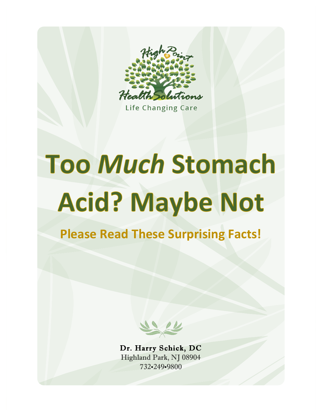

**Life Changing Care** 

## **Too Much Stomach Acid? Maybe Not**

**Please Read These Surprising Facts!** 

Dr. Harry Schick, DC Highland Park, NJ 08904 732•249•9800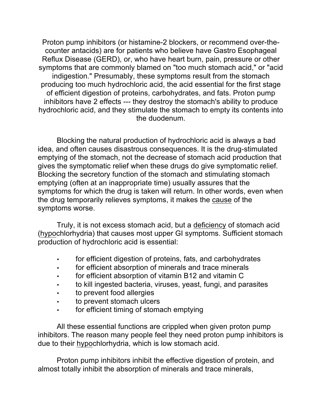Proton pump inhibitors (or histamine-2 blockers, or recommend over-thecounter antacids) are for patients who believe have Gastro Esophageal Reflux Disease (GERD), or, who have heart burn, pain, pressure or other symptoms that are commonly blamed on "too much stomach acid," or "acid indigestion." Presumably, these symptoms result from the stomach producing too much hydrochloric acid, the acid essential for the first stage of efficient digestion of proteins, carbohydrates, and fats. Proton pump inhibitors have 2 effects --- they destroy the stomach's ability to produce hydrochloric acid, and they stimulate the stomach to empty its contents into the duodenum.

Blocking the natural production of hydrochloric acid is always a bad idea, and often causes disastrous consequences. It is the drug-stimulated emptying of the stomach, not the decrease of stomach acid production that gives the symptomatic relief when these drugs do give symptomatic relief. Blocking the secretory function of the stomach and stimulating stomach emptying (often at an inappropriate time) usually assures that the symptoms for which the drug is taken will return. In other words, even when the drug temporarily relieves symptoms, it makes the cause of the symptoms worse.

Truly, it is not excess stomach acid, but a deficiency of stomach acid (hypochlorhydria) that causes most upper GI symptoms. Sufficient stomach production of hydrochloric acid is essential:

- for efficient digestion of proteins, fats, and carbohydrates
- for efficient absorption of minerals and trace minerals
- for efficient absorption of vitamin B12 and vitamin C
- to kill ingested bacteria, viruses, yeast, fungi, and parasites
- to prevent food allergies
- to prevent stomach ulcers
- for efficient timing of stomach emptying

All these essential functions are crippled when given proton pump inhibitors. The reason many people feel they need proton pump inhibitors is due to their hypochlorhydria, which is low stomach acid.

Proton pump inhibitors inhibit the effective digestion of protein, and almost totally inhibit the absorption of minerals and trace minerals,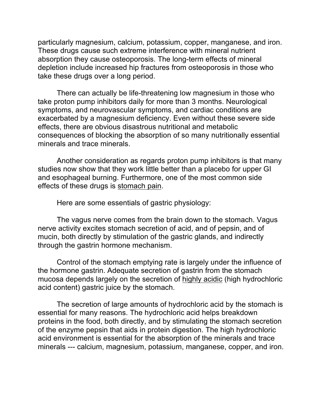particularly magnesium, calcium, potassium, copper, manganese, and iron. These drugs cause such extreme interference with mineral nutrient absorption they cause osteoporosis. The long-term effects of mineral depletion include increased hip fractures from osteoporosis in those who take these drugs over a long period.

There can actually be life-threatening low magnesium in those who take proton pump inhibitors daily for more than 3 months. Neurological symptoms, and neurovascular symptoms, and cardiac conditions are exacerbated by a magnesium deficiency. Even without these severe side effects, there are obvious disastrous nutritional and metabolic consequences of blocking the absorption of so many nutritionally essential minerals and trace minerals.

Another consideration as regards proton pump inhibitors is that many studies now show that they work little better than a placebo for upper GI and esophageal burning. Furthermore, one of the most common side effects of these drugs is stomach pain.

Here are some essentials of gastric physiology:

The vagus nerve comes from the brain down to the stomach. Vagus nerve activity excites stomach secretion of acid, and of pepsin, and of mucin, both directly by stimulation of the gastric glands, and indirectly through the gastrin hormone mechanism.

Control of the stomach emptying rate is largely under the influence of the hormone gastrin. Adequate secretion of gastrin from the stomach mucosa depends largely on the secretion of highly acidic (high hydrochloric acid content) gastric juice by the stomach.

The secretion of large amounts of hydrochloric acid by the stomach is essential for many reasons. The hydrochloric acid helps breakdown proteins in the food, both directly, and by stimulating the stomach secretion of the enzyme pepsin that aids in protein digestion. The high hydrochloric acid environment is essential for the absorption of the minerals and trace minerals --- calcium, magnesium, potassium, manganese, copper, and iron.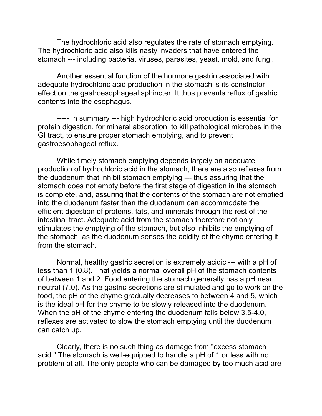The hydrochloric acid also regulates the rate of stomach emptying. The hydrochloric acid also kills nasty invaders that have entered the stomach --- including bacteria, viruses, parasites, yeast, mold, and fungi.

Another essential function of the hormone gastrin associated with adequate hydrochloric acid production in the stomach is its constrictor effect on the gastroesophageal sphincter. It thus prevents reflux of gastric contents into the esophagus.

----- In summary --- high hydrochloric acid production is essential for protein digestion, for mineral absorption, to kill pathological microbes in the GI tract, to ensure proper stomach emptying, and to prevent gastroesophageal reflux.

While timely stomach emptying depends largely on adequate production of hydrochloric acid in the stomach, there are also reflexes from the duodenum that inhibit stomach emptying --- thus assuring that the stomach does not empty before the first stage of digestion in the stomach is complete, and, assuring that the contents of the stomach are not emptied into the duodenum faster than the duodenum can accommodate the efficient digestion of proteins, fats, and minerals through the rest of the intestinal tract. Adequate acid from the stomach therefore not only stimulates the emptying of the stomach, but also inhibits the emptying of the stomach, as the duodenum senses the acidity of the chyme entering it from the stomach.

Normal, healthy gastric secretion is extremely acidic --- with a pH of less than 1 (0.8). That yields a normal overall pH of the stomach contents of between 1 and 2. Food entering the stomach generally has a pH near neutral (7.0). As the gastric secretions are stimulated and go to work on the food, the pH of the chyme gradually decreases to between 4 and 5, which is the ideal pH for the chyme to be slowly released into the duodenum. When the pH of the chyme entering the duodenum falls below 3.5-4.0, reflexes are activated to slow the stomach emptying until the duodenum can catch up.

Clearly, there is no such thing as damage from "excess stomach acid." The stomach is well-equipped to handle a pH of 1 or less with no problem at all. The only people who can be damaged by too much acid are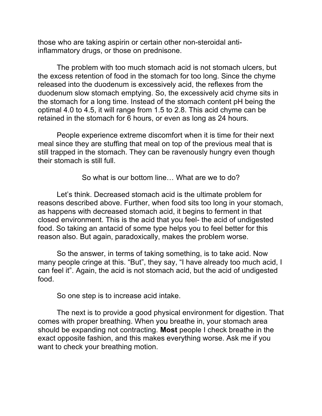those who are taking aspirin or certain other non-steroidal antiinflammatory drugs, or those on prednisone.

The problem with too much stomach acid is not stomach ulcers, but the excess retention of food in the stomach for too long. Since the chyme released into the duodenum is excessively acid, the reflexes from the duodenum slow stomach emptying. So, the excessively acid chyme sits in the stomach for a long time. Instead of the stomach content pH being the optimal 4.0 to 4.5, it will range from 1.5 to 2.8. This acid chyme can be retained in the stomach for 6 hours, or even as long as 24 hours.

People experience extreme discomfort when it is time for their next meal since they are stuffing that meal on top of the previous meal that is still trapped in the stomach. They can be ravenously hungry even though their stomach is still full.

So what is our bottom line… What are we to do?

Let's think. Decreased stomach acid is the ultimate problem for reasons described above. Further, when food sits too long in your stomach, as happens with decreased stomach acid, it begins to ferment in that closed environment. This is the acid that you feel- the acid of undigested food. So taking an antacid of some type helps you to feel better for this reason also. But again, paradoxically, makes the problem worse.

So the answer, in terms of taking something, is to take acid. Now many people cringe at this. "But", they say, "I have already too much acid, I can feel it". Again, the acid is not stomach acid, but the acid of undigested food.

So one step is to increase acid intake.

The next is to provide a good physical environment for digestion. That comes with proper breathing. When you breathe in, your stomach area should be expanding not contracting. **Most** people I check breathe in the exact opposite fashion, and this makes everything worse. Ask me if you want to check your breathing motion.